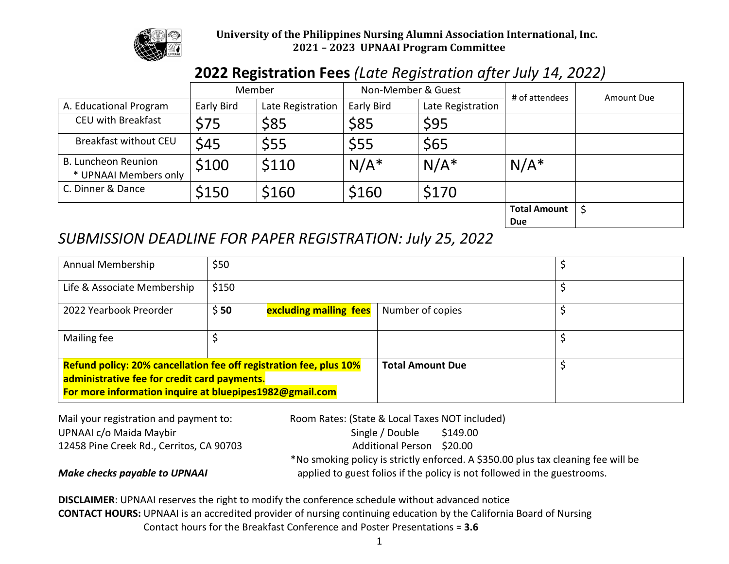

## University of the Philippines Nursing Alumni Association International, Inc. **2021 – 2023 UPNAAI Program Committee**

## **2022 Registration Fees** *(Late Registration after July 14, 2022)*

|                                                     |            | Member            | Non-Member & Guest |                   | # of attendees                    | Amount Due |
|-----------------------------------------------------|------------|-------------------|--------------------|-------------------|-----------------------------------|------------|
| A. Educational Program                              | Early Bird | Late Registration | Early Bird         | Late Registration |                                   |            |
| <b>CEU with Breakfast</b>                           | \$75       | \$85              | \$85               | \$95              |                                   |            |
| Breakfast without CEU                               | \$45       | \$55              | \$55               | \$65              |                                   |            |
| <b>B. Luncheon Reunion</b><br>* UPNAAI Members only | \$100      | \$110             | $N/A^*$            | $N/A^*$           | $N/A^*$                           |            |
| C. Dinner & Dance                                   | \$150      | \$160             | \$160              | \$170             |                                   |            |
|                                                     |            |                   |                    |                   | <b>Total Amount</b><br><b>Due</b> |            |

## *SUBMISSION DEADLINE FOR PAPER REGISTRATION: July 25, 2022*

| Annual Membership                                                                                                                                                                    | \$50  |                        |                         |  |
|--------------------------------------------------------------------------------------------------------------------------------------------------------------------------------------|-------|------------------------|-------------------------|--|
| Life & Associate Membership                                                                                                                                                          | \$150 |                        |                         |  |
| 2022 Yearbook Preorder                                                                                                                                                               | \$50  | excluding mailing fees | Number of copies        |  |
| Mailing fee                                                                                                                                                                          |       |                        |                         |  |
| <b>Refund policy: 20% cancellation fee off registration fee, plus 10%</b><br>administrative fee for credit card payments.<br>For more information inquire at bluepipes1982@gmail.com |       |                        | <b>Total Amount Due</b> |  |

Mail your registration and payment to: Room Rates: (State & Local Taxes NOT included) UPNAAI c/o Maida Maybir Single / Double \$149.00 12458 Pine Creek Rd., Cerritos, CA 90703 Additional Person \$20.00 \*No smoking policy is strictly enforced. A \$350.00 plus tax cleaning fee will be *Make checks payable to UPNAAI* applied to guest folios if the policy is not followed in the guestrooms.

 **DISCLAIMER**: UPNAAI reserves the right to modify the conference schedule without advanced notice  **CONTACT HOURS:** UPNAAI is an accredited provider of nursing continuing education by the California Board of Nursing Contact hours for the Breakfast Conference and Poster Presentations = **3.6**